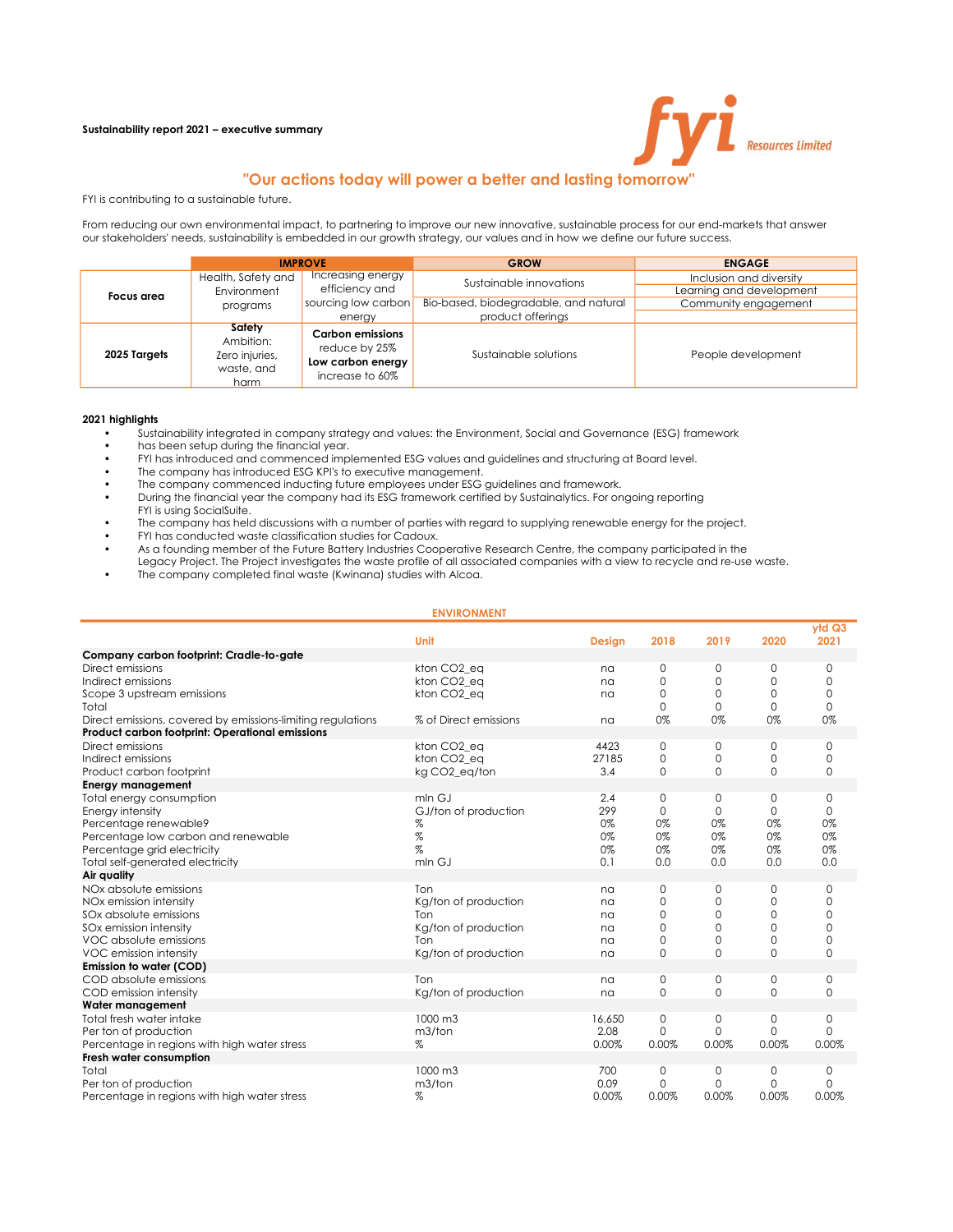### Sustainability report 2021 – executive summary



# "Our actions today will power a better and lasting tomorrow"

FYI is contributing to a sustainable future.

From reducing our own environmental impact, to partnering to improve our new innovative, sustainable process for our end-markets that answer our stakeholders' needs, sustainability is embedded in our growth strategy, our values and in how we define our future success.

|                                                 | <b>IMPROVE</b>                                              |                                                                                  | <b>GROW</b>                           | <b>ENGAGE</b>                                       |  |  |
|-------------------------------------------------|-------------------------------------------------------------|----------------------------------------------------------------------------------|---------------------------------------|-----------------------------------------------------|--|--|
| Health, Safety and<br>Environment<br>Focus area |                                                             | Increasing energy<br>efficiency and                                              | Sustainable innovations               | Inclusion and diversity<br>Learning and development |  |  |
|                                                 | programs                                                    | sourcing low carbon                                                              | Bio-based, biodegradable, and natural | Community engagement                                |  |  |
|                                                 |                                                             | energy                                                                           | product offerings                     |                                                     |  |  |
| 2025 Targets                                    | Safety<br>Ambition:<br>Zero injuries,<br>waste, and<br>harm | <b>Carbon emissions</b><br>reduce by 25%<br>Low carbon energy<br>increase to 60% | Sustainable solutions                 | People development                                  |  |  |

#### 2021 highlights

- Sustainability integrated in company strategy and values: the Environment, Social and Governance (ESG) framework
- has been setup during the financial year.
- FYI has introduced and commenced implemented ESG values and guidelines and structuring at Board level.
- The company has introduced ESG KPI's to executive management.
- The company commenced inducting future employees under ESG guidelines and framework.
- During the financial year the company had its ESG framework certified by Sustainalytics. For ongoing reporting
- FYI is using SocialSuite.
- The company has held discussions with a number of parties with regard to supplying renewable energy for the project.
- FYI has conducted waste classification studies for Cadoux.
- As a founding member of the Future Battery Industries Cooperative Research Centre, the company participated in the
- Legacy Project. The Project investigates the waste profile of all associated companies with a view to recycle and re-use waste.
- The company completed final waste (Kwinana) studies with Alcoa.

| <b>ENVIRONMENT</b>                                          |                         |               |                            |                   |               |                   |  |
|-------------------------------------------------------------|-------------------------|---------------|----------------------------|-------------------|---------------|-------------------|--|
|                                                             | Unit                    | <b>Design</b> | 2018                       | 2019              | 2020          | ytdQ3<br>2021     |  |
| Company carbon footprint: Cradle-to-gate                    |                         |               |                            |                   |               |                   |  |
| Direct emissions                                            | kton CO <sub>2</sub> eq | na            | $\mathbf 0$                | 0                 | 0             | 0                 |  |
| Indirect emissions                                          | kton CO <sub>2</sub> eq | na            | $\mathbf 0$                | $\mathbf 0$       | 0             | $\Omega$          |  |
| Scope 3 upstream emissions                                  | kton CO <sub>2</sub> eq | na            | $\mathbf 0$                | 0                 | 0             | 0                 |  |
| Total                                                       |                         |               | $\mathbf 0$                | $\mathbf{0}$      | 0             | $\Omega$          |  |
| Direct emissions, covered by emissions-limiting regulations | % of Direct emissions   | na            | 0%                         | 0%                | 0%            | 0%                |  |
| Product carbon footprint: Operational emissions             |                         |               |                            |                   |               |                   |  |
| Direct emissions                                            | kton CO <sub>2</sub> eq | 4423          | 0                          | 0                 | 0             | 0                 |  |
| Indirect emissions                                          | kton CO <sub>2</sub> eq | 27185         | $\mathbf 0$                | $\mathbf 0$       | 0             | $\mathbf{0}$      |  |
| Product carbon footprint                                    | kg CO2 eg/ton           | 3.4           | $\mathbf 0$                | $\Omega$          | $\Omega$      | $\Omega$          |  |
| <b>Energy management</b>                                    |                         |               |                            |                   |               |                   |  |
| Total energy consumption                                    | mln G.J                 | 2.4           | $\mathbf 0$                | 0                 | 0             | 0                 |  |
| Energy intensity                                            | GJ/ton of production    | 299           | $\Omega$                   | $\Omega$          | $\Omega$      | $\Omega$          |  |
| Percentage renewable9                                       | %                       | 0%            | 0%                         | 0%                | 0%            | 0%                |  |
| Percentage low carbon and renewable                         | $\%$                    | 0%            | 0%                         | 0%                | 0%            | 0%                |  |
| Percentage grid electricity                                 | $\%$                    | 0%            | 0%                         | 0%                | 0%            | 0%                |  |
| Total self-generated electricity                            | mln GJ                  | 0.1           | 0.0                        | 0.0               | 0.0           | 0.0               |  |
| Air quality                                                 |                         |               |                            |                   |               |                   |  |
| NOx absolute emissions                                      | Ton                     | na            | 0                          | 0                 | 0             | $\Omega$          |  |
| NOx emission intensity                                      | Kg/ton of production    | na            | $\Omega$                   | $\Omega$          | 0             | $\Omega$          |  |
| SOx absolute emissions                                      | Ton                     | na            | $\mathbf 0$                | 0                 | 0             | $\mathbf 0$       |  |
| SOx emission intensity                                      | Kg/ton of production    | na            | $\mathbf 0$                | 0                 | 0             | $\mathbf{0}$      |  |
| VOC absolute emissions                                      | Ton                     | na            | 0                          | 0                 | 0             | $\mathbf 0$       |  |
| VOC emission intensity                                      | Kg/ton of production    | na            | $\mathbf 0$                | $\mathbf 0$       | 0             | $\mathbf{0}$      |  |
| Emission to water (COD)                                     | Ton                     |               |                            |                   |               |                   |  |
| COD absolute emissions                                      |                         | na            | $\mathbf 0$<br>$\mathbf 0$ | 0<br>$\mathbf{0}$ | 0<br>$\Omega$ | 0<br>$\mathbf{0}$ |  |
| COD emission intensity<br>Water management                  | Kg/ton of production    | na            |                            |                   |               |                   |  |
| Total fresh water intake                                    | $1000 \text{ m}$ 3      | 16,650        | $\mathbf 0$                | 0                 | 0             | 0                 |  |
| Per ton of production                                       | m3/ton                  | 2.08          | $\Omega$                   | $\Omega$          | $\Omega$      | $\Omega$          |  |
| Percentage in regions with high water stress                | %                       | 0.00%         | 0.00%                      | 0.00%             | 0.00%         | 0.00%             |  |
| Fresh water consumption                                     |                         |               |                            |                   |               |                   |  |
| Total                                                       | $1000 \text{ m}$ 3      | 700           | $\mathbf 0$                | 0                 | 0             | 0                 |  |
| Per ton of production                                       | m3/ton                  | 0.09          | $\mathbf{O}$               | $\mathbf{0}$      | 0             | $\Omega$          |  |
| Percentage in regions with high water stress                | %                       | 0.00%         | 0.00%                      | 0.00%             | 0.00%         | 0.00%             |  |
|                                                             |                         |               |                            |                   |               |                   |  |